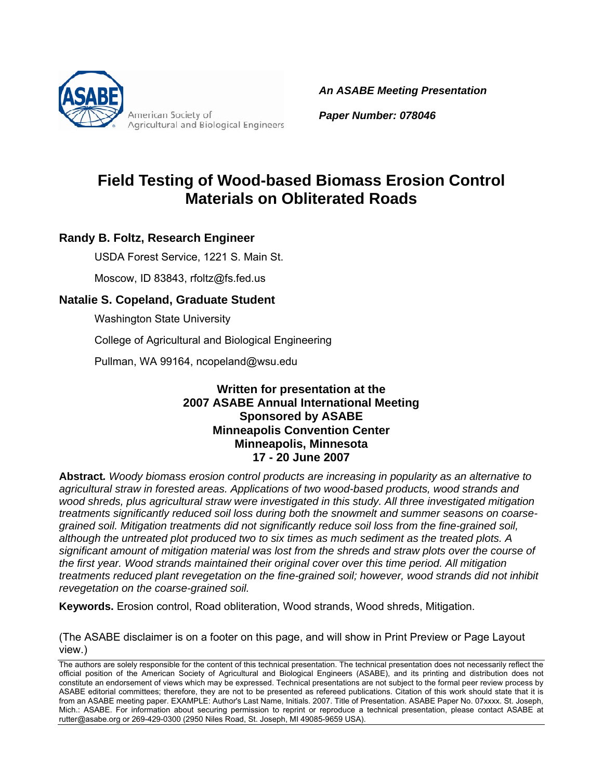

*An ASABE Meeting Presentation*

*Paper Number: 078046*

# **Field Testing of Wood-based Biomass Erosion Control Materials on Obliterated Roads**

### **Randy B. Foltz, Research Engineer**

USDA Forest Service, 1221 S. Main St.

Moscow, ID 83843, rfoltz@fs.fed.us

#### **Natalie S. Copeland, Graduate Student**

Washington State University

College of Agricultural and Biological Engineering

Pullman, WA 99164, ncopeland@wsu.edu

#### **Written for presentation at the 2007 ASABE Annual International Meeting Sponsored by ASABE Minneapolis Convention Center Minneapolis, Minnesota 17 - 20 June 2007**

**Abstract***. Woody biomass erosion control products are increasing in popularity as an alternative to agricultural straw in forested areas. Applications of two wood-based products, wood strands and wood shreds, plus agricultural straw were investigated in this study. All three investigated mitigation treatments significantly reduced soil loss during both the snowmelt and summer seasons on coarsegrained soil. Mitigation treatments did not significantly reduce soil loss from the fine-grained soil, although the untreated plot produced two to six times as much sediment as the treated plots. A significant amount of mitigation material was lost from the shreds and straw plots over the course of the first year. Wood strands maintained their original cover over this time period. All mitigation treatments reduced plant revegetation on the fine-grained soil; however, wood strands did not inhibit revegetation on the coarse-grained soil.* 

**Keywords.** Erosion control, Road obliteration, Wood strands, Wood shreds, Mitigation.

(The ASABE disclaimer is on a footer on this page, and will show in Print Preview or Page Layout view.)

The authors are solely responsible for the content of this technical presentation. The technical presentation does not necessarily reflect the official position of the American Society of Agricultural and Biological Engineers (ASABE), and its printing and distribution does not constitute an endorsement of views which may be expressed. Technical presentations are not subject to the formal peer review process by ASABE editorial committees; therefore, they are not to be presented as refereed publications. Citation of this work should state that it is from an ASABE meeting paper. EXAMPLE: Author's Last Name, Initials. 2007. Title of Presentation. ASABE Paper No. 07xxxx. St. Joseph, Mich.: ASABE. For information about securing permission to reprint or reproduce a technical presentation, please contact ASABE at rutter@asabe.org or 269-429-0300 (2950 Niles Road, St. Joseph, MI 49085-9659 USA).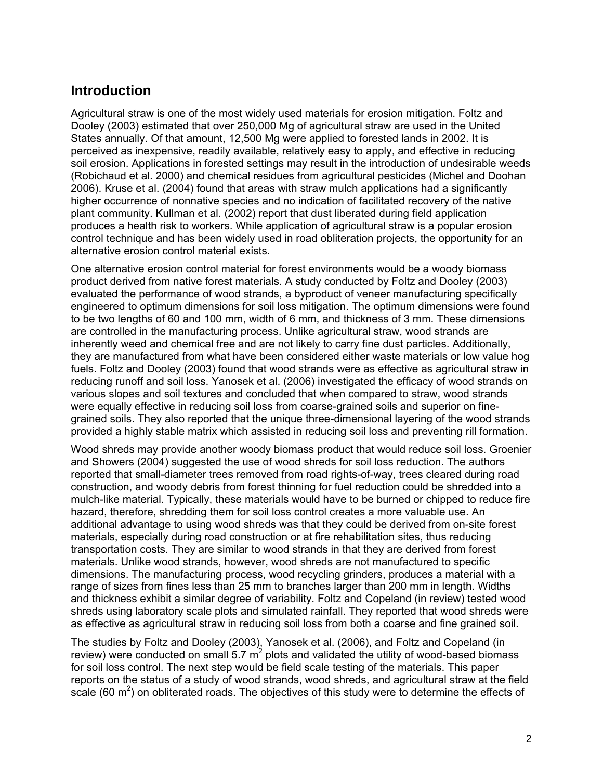# **Introduction**

Agricultural straw is one of the most widely used materials for erosion mitigation. Foltz and Dooley (2003) estimated that over 250,000 Mg of agricultural straw are used in the United States annually. Of that amount, 12,500 Mg were applied to forested lands in 2002. It is perceived as inexpensive, readily available, relatively easy to apply, and effective in reducing soil erosion. Applications in forested settings may result in the introduction of undesirable weeds (Robichaud et al. 2000) and chemical residues from agricultural pesticides (Michel and Doohan 2006). Kruse et al. (2004) found that areas with straw mulch applications had a significantly higher occurrence of nonnative species and no indication of facilitated recovery of the native plant community. Kullman et al. (2002) report that dust liberated during field application produces a health risk to workers. While application of agricultural straw is a popular erosion control technique and has been widely used in road obliteration projects, the opportunity for an alternative erosion control material exists.

One alternative erosion control material for forest environments would be a woody biomass product derived from native forest materials. A study conducted by Foltz and Dooley (2003) evaluated the performance of wood strands, a byproduct of veneer manufacturing specifically engineered to optimum dimensions for soil loss mitigation. The optimum dimensions were found to be two lengths of 60 and 100 mm, width of 6 mm, and thickness of 3 mm. These dimensions are controlled in the manufacturing process. Unlike agricultural straw, wood strands are inherently weed and chemical free and are not likely to carry fine dust particles. Additionally, they are manufactured from what have been considered either waste materials or low value hog fuels. Foltz and Dooley (2003) found that wood strands were as effective as agricultural straw in reducing runoff and soil loss. Yanosek et al. (2006) investigated the efficacy of wood strands on various slopes and soil textures and concluded that when compared to straw, wood strands were equally effective in reducing soil loss from coarse-grained soils and superior on finegrained soils. They also reported that the unique three-dimensional layering of the wood strands provided a highly stable matrix which assisted in reducing soil loss and preventing rill formation.

Wood shreds may provide another woody biomass product that would reduce soil loss. Groenier and Showers (2004) suggested the use of wood shreds for soil loss reduction. The authors reported that small-diameter trees removed from road rights-of-way, trees cleared during road construction, and woody debris from forest thinning for fuel reduction could be shredded into a mulch-like material. Typically, these materials would have to be burned or chipped to reduce fire hazard, therefore, shredding them for soil loss control creates a more valuable use. An additional advantage to using wood shreds was that they could be derived from on-site forest materials, especially during road construction or at fire rehabilitation sites, thus reducing transportation costs. They are similar to wood strands in that they are derived from forest materials. Unlike wood strands, however, wood shreds are not manufactured to specific dimensions. The manufacturing process, wood recycling grinders, produces a material with a range of sizes from fines less than 25 mm to branches larger than 200 mm in length. Widths and thickness exhibit a similar degree of variability. Foltz and Copeland (in review) tested wood shreds using laboratory scale plots and simulated rainfall. They reported that wood shreds were as effective as agricultural straw in reducing soil loss from both a coarse and fine grained soil.

The studies by Foltz and Dooley (2003), Yanosek et al. (2006), and Foltz and Copeland (in review) were conducted on small 5.7  $m^2$  plots and validated the utility of wood-based biomass for soil loss control. The next step would be field scale testing of the materials. This paper reports on the status of a study of wood strands, wood shreds, and agricultural straw at the field scale (60  $\text{m}^2$ ) on obliterated roads. The objectives of this study were to determine the effects of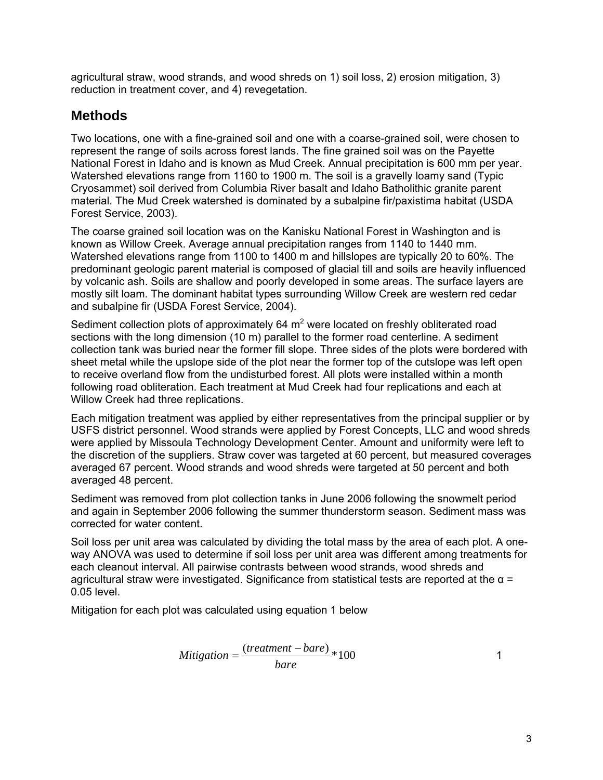agricultural straw, wood strands, and wood shreds on 1) soil loss, 2) erosion mitigation, 3) reduction in treatment cover, and 4) revegetation.

# **Methods**

Two locations, one with a fine-grained soil and one with a coarse-grained soil, were chosen to represent the range of soils across forest lands. The fine grained soil was on the Payette National Forest in Idaho and is known as Mud Creek. Annual precipitation is 600 mm per year. Watershed elevations range from 1160 to 1900 m. The soil is a gravelly loamy sand (Typic Cryosammet) soil derived from Columbia River basalt and Idaho Batholithic granite parent material. The Mud Creek watershed is dominated by a subalpine fir/paxistima habitat (USDA Forest Service, 2003).

The coarse grained soil location was on the Kanisku National Forest in Washington and is known as Willow Creek. Average annual precipitation ranges from 1140 to 1440 mm. Watershed elevations range from 1100 to 1400 m and hillslopes are typically 20 to 60%. The predominant geologic parent material is composed of glacial till and soils are heavily influenced by volcanic ash. Soils are shallow and poorly developed in some areas. The surface layers are mostly silt loam. The dominant habitat types surrounding Willow Creek are western red cedar and subalpine fir (USDA Forest Service, 2004).

Sediment collection plots of approximately 64  $m<sup>2</sup>$  were located on freshly obliterated road sections with the long dimension (10 m) parallel to the former road centerline. A sediment collection tank was buried near the former fill slope. Three sides of the plots were bordered with sheet metal while the upslope side of the plot near the former top of the cutslope was left open to receive overland flow from the undisturbed forest. All plots were installed within a month following road obliteration. Each treatment at Mud Creek had four replications and each at Willow Creek had three replications.

Each mitigation treatment was applied by either representatives from the principal supplier or by USFS district personnel. Wood strands were applied by Forest Concepts, LLC and wood shreds were applied by Missoula Technology Development Center. Amount and uniformity were left to the discretion of the suppliers. Straw cover was targeted at 60 percent, but measured coverages averaged 67 percent. Wood strands and wood shreds were targeted at 50 percent and both averaged 48 percent.

Sediment was removed from plot collection tanks in June 2006 following the snowmelt period and again in September 2006 following the summer thunderstorm season. Sediment mass was corrected for water content.

Soil loss per unit area was calculated by dividing the total mass by the area of each plot. A oneway ANOVA was used to determine if soil loss per unit area was different among treatments for each cleanout interval. All pairwise contrasts between wood strands, wood shreds and agricultural straw were investigated. Significance from statistical tests are reported at the  $\alpha$  = 0.05 level.

Mitigation for each plot was calculated using equation 1 below

$$
Mitigation = \frac{(treatment - bare)}{bare} * 100
$$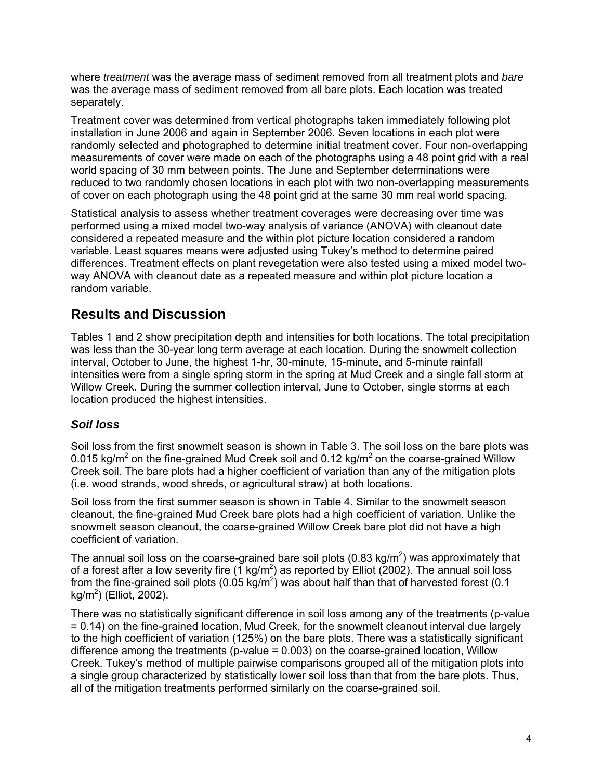where *treatment* was the average mass of sediment removed from all treatment plots and *bare* was the average mass of sediment removed from all bare plots. Each location was treated separately.

Treatment cover was determined from vertical photographs taken immediately following plot installation in June 2006 and again in September 2006. Seven locations in each plot were randomly selected and photographed to determine initial treatment cover. Four non-overlapping measurements of cover were made on each of the photographs using a 48 point grid with a real world spacing of 30 mm between points. The June and September determinations were reduced to two randomly chosen locations in each plot with two non-overlapping measurements of cover on each photograph using the 48 point grid at the same 30 mm real world spacing.

Statistical analysis to assess whether treatment coverages were decreasing over time was performed using a mixed model two-way analysis of variance (ANOVA) with cleanout date considered a repeated measure and the within plot picture location considered a random variable. Least squares means were adjusted using Tukey's method to determine paired differences. Treatment effects on plant revegetation were also tested using a mixed model twoway ANOVA with cleanout date as a repeated measure and within plot picture location a random variable.

# **Results and Discussion**

Tables 1 and 2 show precipitation depth and intensities for both locations. The total precipitation was less than the 30-year long term average at each location. During the snowmelt collection interval, October to June, the highest 1-hr, 30-minute, 15-minute, and 5-minute rainfall intensities were from a single spring storm in the spring at Mud Creek and a single fall storm at Willow Creek. During the summer collection interval, June to October, single storms at each location produced the highest intensities.

#### *Soil loss*

Soil loss from the first snowmelt season is shown in Table 3. The soil loss on the bare plots was 0.015 kg/m<sup>2</sup> on the fine-grained Mud Creek soil and 0.12 kg/m<sup>2</sup> on the coarse-grained Willow Creek soil. The bare plots had a higher coefficient of variation than any of the mitigation plots (i.e. wood strands, wood shreds, or agricultural straw) at both locations.

Soil loss from the first summer season is shown in Table 4. Similar to the snowmelt season cleanout, the fine-grained Mud Creek bare plots had a high coefficient of variation. Unlike the snowmelt season cleanout, the coarse-grained Willow Creek bare plot did not have a high coefficient of variation.

The annual soil loss on the coarse-grained bare soil plots (0.83 kg/m<sup>2</sup>) was approximately that of a forest after a low severity fire  $(1 \text{ kg/m}^2)$  as reported by Elliot (2002). The annual soil loss from the fine-grained soil plots (0.05 kg/m<sup>2</sup>) was about half than that of harvested forest (0.1  $kg/m<sup>2</sup>$ ) (Elliot, 2002).

There was no statistically significant difference in soil loss among any of the treatments (p-value = 0.14) on the fine-grained location, Mud Creek, for the snowmelt cleanout interval due largely to the high coefficient of variation (125%) on the bare plots. There was a statistically significant difference among the treatments ( $p$ -value = 0.003) on the coarse-grained location, Willow Creek. Tukey's method of multiple pairwise comparisons grouped all of the mitigation plots into a single group characterized by statistically lower soil loss than that from the bare plots. Thus, all of the mitigation treatments performed similarly on the coarse-grained soil.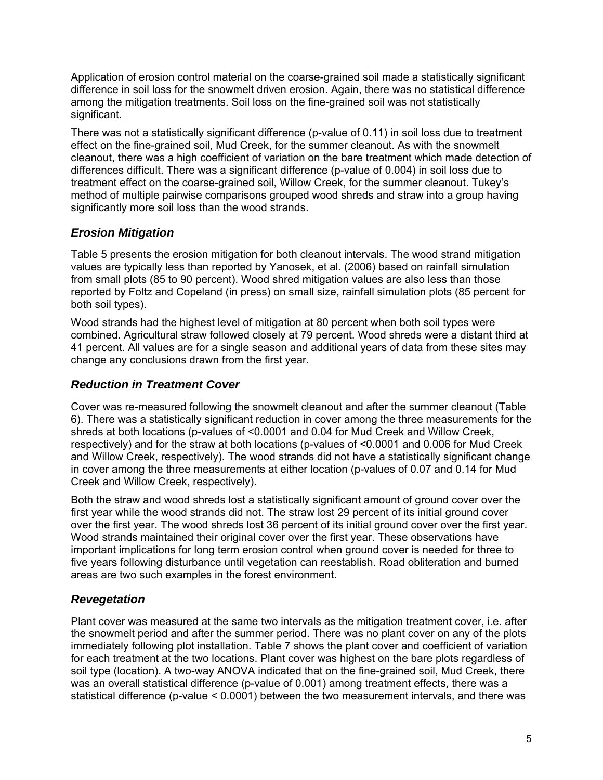Application of erosion control material on the coarse-grained soil made a statistically significant difference in soil loss for the snowmelt driven erosion. Again, there was no statistical difference among the mitigation treatments. Soil loss on the fine-grained soil was not statistically significant.

There was not a statistically significant difference (p-value of 0.11) in soil loss due to treatment effect on the fine-grained soil, Mud Creek, for the summer cleanout. As with the snowmelt cleanout, there was a high coefficient of variation on the bare treatment which made detection of differences difficult. There was a significant difference (p-value of 0.004) in soil loss due to treatment effect on the coarse-grained soil, Willow Creek, for the summer cleanout. Tukey's method of multiple pairwise comparisons grouped wood shreds and straw into a group having significantly more soil loss than the wood strands.

#### *Erosion Mitigation*

Table 5 presents the erosion mitigation for both cleanout intervals. The wood strand mitigation values are typically less than reported by Yanosek, et al. (2006) based on rainfall simulation from small plots (85 to 90 percent). Wood shred mitigation values are also less than those reported by Foltz and Copeland (in press) on small size, rainfall simulation plots (85 percent for both soil types).

Wood strands had the highest level of mitigation at 80 percent when both soil types were combined. Agricultural straw followed closely at 79 percent. Wood shreds were a distant third at 41 percent. All values are for a single season and additional years of data from these sites may change any conclusions drawn from the first year.

### *Reduction in Treatment Cover*

Cover was re-measured following the snowmelt cleanout and after the summer cleanout (Table 6). There was a statistically significant reduction in cover among the three measurements for the shreds at both locations (p-values of <0.0001 and 0.04 for Mud Creek and Willow Creek, respectively) and for the straw at both locations (p-values of <0.0001 and 0.006 for Mud Creek and Willow Creek, respectively). The wood strands did not have a statistically significant change in cover among the three measurements at either location (p-values of 0.07 and 0.14 for Mud Creek and Willow Creek, respectively).

Both the straw and wood shreds lost a statistically significant amount of ground cover over the first year while the wood strands did not. The straw lost 29 percent of its initial ground cover over the first year. The wood shreds lost 36 percent of its initial ground cover over the first year. Wood strands maintained their original cover over the first year. These observations have important implications for long term erosion control when ground cover is needed for three to five years following disturbance until vegetation can reestablish. Road obliteration and burned areas are two such examples in the forest environment.

### *Revegetation*

Plant cover was measured at the same two intervals as the mitigation treatment cover, i.e. after the snowmelt period and after the summer period. There was no plant cover on any of the plots immediately following plot installation. Table 7 shows the plant cover and coefficient of variation for each treatment at the two locations. Plant cover was highest on the bare plots regardless of soil type (location). A two-way ANOVA indicated that on the fine-grained soil, Mud Creek, there was an overall statistical difference (p-value of 0.001) among treatment effects, there was a statistical difference (p-value < 0.0001) between the two measurement intervals, and there was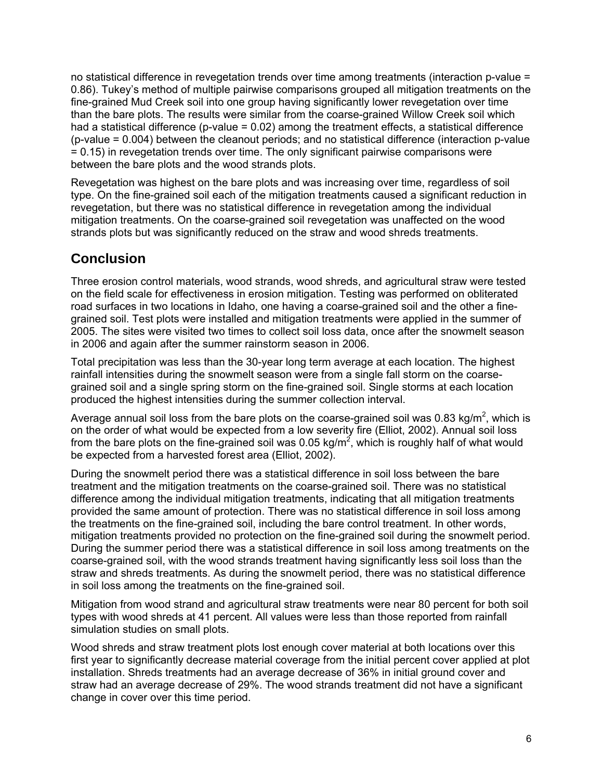no statistical difference in revegetation trends over time among treatments (interaction p-value = 0.86). Tukey's method of multiple pairwise comparisons grouped all mitigation treatments on the fine-grained Mud Creek soil into one group having significantly lower revegetation over time than the bare plots. The results were similar from the coarse-grained Willow Creek soil which had a statistical difference (p-value = 0.02) among the treatment effects, a statistical difference (p-value = 0.004) between the cleanout periods; and no statistical difference (interaction p-value = 0.15) in revegetation trends over time. The only significant pairwise comparisons were between the bare plots and the wood strands plots.

Revegetation was highest on the bare plots and was increasing over time, regardless of soil type. On the fine-grained soil each of the mitigation treatments caused a significant reduction in revegetation, but there was no statistical difference in revegetation among the individual mitigation treatments. On the coarse-grained soil revegetation was unaffected on the wood strands plots but was significantly reduced on the straw and wood shreds treatments.

# **Conclusion**

Three erosion control materials, wood strands, wood shreds, and agricultural straw were tested on the field scale for effectiveness in erosion mitigation. Testing was performed on obliterated road surfaces in two locations in Idaho, one having a coarse-grained soil and the other a finegrained soil. Test plots were installed and mitigation treatments were applied in the summer of 2005. The sites were visited two times to collect soil loss data, once after the snowmelt season in 2006 and again after the summer rainstorm season in 2006.

Total precipitation was less than the 30-year long term average at each location. The highest rainfall intensities during the snowmelt season were from a single fall storm on the coarsegrained soil and a single spring storm on the fine-grained soil. Single storms at each location produced the highest intensities during the summer collection interval.

Average annual soil loss from the bare plots on the coarse-grained soil was 0.83 kg/m<sup>2</sup>, which is on the order of what would be expected from a low severity fire (Elliot, 2002). Annual soil loss from the bare plots on the fine-grained soil was 0.05 kg/m<sup>2</sup>, which is roughly half of what would be expected from a harvested forest area (Elliot, 2002).

During the snowmelt period there was a statistical difference in soil loss between the bare treatment and the mitigation treatments on the coarse-grained soil. There was no statistical difference among the individual mitigation treatments, indicating that all mitigation treatments provided the same amount of protection. There was no statistical difference in soil loss among the treatments on the fine-grained soil, including the bare control treatment. In other words, mitigation treatments provided no protection on the fine-grained soil during the snowmelt period. During the summer period there was a statistical difference in soil loss among treatments on the coarse-grained soil, with the wood strands treatment having significantly less soil loss than the straw and shreds treatments. As during the snowmelt period, there was no statistical difference in soil loss among the treatments on the fine-grained soil.

Mitigation from wood strand and agricultural straw treatments were near 80 percent for both soil types with wood shreds at 41 percent. All values were less than those reported from rainfall simulation studies on small plots.

Wood shreds and straw treatment plots lost enough cover material at both locations over this first year to significantly decrease material coverage from the initial percent cover applied at plot installation. Shreds treatments had an average decrease of 36% in initial ground cover and straw had an average decrease of 29%. The wood strands treatment did not have a significant change in cover over this time period.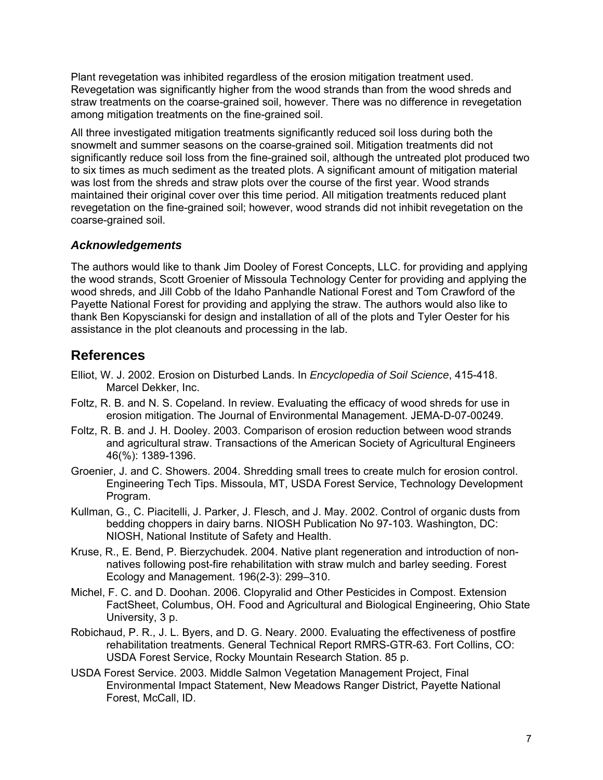Plant revegetation was inhibited regardless of the erosion mitigation treatment used. Revegetation was significantly higher from the wood strands than from the wood shreds and straw treatments on the coarse-grained soil, however. There was no difference in revegetation among mitigation treatments on the fine-grained soil.

All three investigated mitigation treatments significantly reduced soil loss during both the snowmelt and summer seasons on the coarse-grained soil. Mitigation treatments did not significantly reduce soil loss from the fine-grained soil, although the untreated plot produced two to six times as much sediment as the treated plots. A significant amount of mitigation material was lost from the shreds and straw plots over the course of the first year. Wood strands maintained their original cover over this time period. All mitigation treatments reduced plant revegetation on the fine-grained soil; however, wood strands did not inhibit revegetation on the coarse-grained soil.

#### *Acknowledgements*

The authors would like to thank Jim Dooley of Forest Concepts, LLC. for providing and applying the wood strands, Scott Groenier of Missoula Technology Center for providing and applying the wood shreds, and Jill Cobb of the Idaho Panhandle National Forest and Tom Crawford of the Payette National Forest for providing and applying the straw. The authors would also like to thank Ben Kopyscianski for design and installation of all of the plots and Tyler Oester for his assistance in the plot cleanouts and processing in the lab.

## **References**

- Elliot, W. J. 2002. Erosion on Disturbed Lands. In *Encyclopedia of Soil Science*, 415-418. Marcel Dekker, Inc.
- Foltz, R. B. and N. S. Copeland. In review. Evaluating the efficacy of wood shreds for use in erosion mitigation. The Journal of Environmental Management. JEMA-D-07-00249.
- Foltz, R. B. and J. H. Dooley. 2003. Comparison of erosion reduction between wood strands and agricultural straw. Transactions of the American Society of Agricultural Engineers 46(%): 1389-1396.
- Groenier, J. and C. Showers. 2004. Shredding small trees to create mulch for erosion control. Engineering Tech Tips. Missoula, MT, USDA Forest Service, Technology Development Program.
- Kullman, G., C. Piacitelli, J. Parker, J. Flesch, and J. May. 2002. Control of organic dusts from bedding choppers in dairy barns. NIOSH Publication No 97-103. Washington, DC: NIOSH, National Institute of Safety and Health.
- Kruse, R., E. Bend, P. Bierzychudek. 2004. Native plant regeneration and introduction of nonnatives following post-fire rehabilitation with straw mulch and barley seeding. Forest Ecology and Management. 196(2-3): 299–310.
- Michel, F. C. and D. Doohan. 2006. Clopyralid and Other Pesticides in Compost. Extension FactSheet, Columbus, OH. Food and Agricultural and Biological Engineering, Ohio State University, 3 p.
- Robichaud, P. R., J. L. Byers, and D. G. Neary. 2000. Evaluating the effectiveness of postfire rehabilitation treatments. General Technical Report RMRS-GTR-63. Fort Collins, CO: USDA Forest Service, Rocky Mountain Research Station. 85 p.
- USDA Forest Service. 2003. Middle Salmon Vegetation Management Project, Final Environmental Impact Statement, New Meadows Ranger District, Payette National Forest, McCall, ID.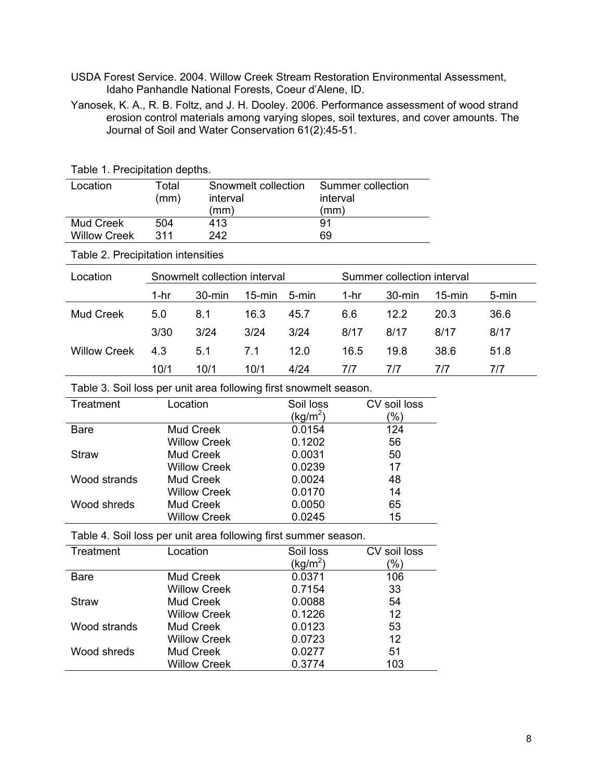- USDA Forest Service. 2004. Willow Creek Stream Restoration Environmental Assessment, Idaho Panhandle National Forests, Coeur d'Alene, ID.
- Yanosek, K. A., R. B. Foltz, and J. H. Dooley. 2006. Performance assessment of wood strand erosion control materials among varying slopes, soil textures, and cover amounts. The Journal of Soil and Water Conservation 61(2):45-51.

| Location            | Total<br>(mm) | Snowmelt collection<br>interval | Summer collection<br>interval |
|---------------------|---------------|---------------------------------|-------------------------------|
|                     |               | (mm)                            | (mm)                          |
| <b>Mud Creek</b>    | 504           | 413                             | 91                            |
| <b>Willow Creek</b> | 311           | 242                             | 69                            |

Table 1. Precipitation depths.

Table 2. Precipitation intensities

| Location            | Snowmelt collection interval |        | Summer collection interval |       |      |        |           |       |
|---------------------|------------------------------|--------|----------------------------|-------|------|--------|-----------|-------|
|                     | 1-hr                         | 30-min | 15-min                     | 5-min | 1-hr | 30-min | $15$ -min | 5-min |
| Mud Creek           | 5.0                          | 8.1    | 16.3                       | 45.7  | 6.6  | 12.2   | 20.3      | 36.6  |
|                     | 3/30                         | 3/24   | 3/24                       | 3/24  | 8/17 | 8/17   | 8/17      | 8/17  |
| <b>Willow Creek</b> | 4.3                          | 5.1    | 7.1                        | 12.0  | 16.5 | 19.8   | 38.6      | 51.8  |
|                     | 10/1                         | 10/1   | 10/1                       | 4/24  | 717  | 7/7    | 717       | 7/7   |

Table 3. Soil loss per unit area following first snowmelt season.

| Treatment    | Location            | Soil loss  | CV soil loss |  |
|--------------|---------------------|------------|--------------|--|
|              |                     | $(kg/m^2)$ | (%)          |  |
| <b>Bare</b>  | <b>Mud Creek</b>    | 0.0154     | 124          |  |
|              | <b>Willow Creek</b> | 0.1202     | 56           |  |
| <b>Straw</b> | Mud Creek           | 0.0031     | 50           |  |
|              | <b>Willow Creek</b> | 0.0239     | 17           |  |
| Wood strands | Mud Creek           | 0.0024     | 48           |  |
|              | <b>Willow Creek</b> | 0.0170     | 14           |  |
| Wood shreds  | Mud Creek           | 0.0050     | 65           |  |
|              | <b>Willow Creek</b> | 0.0245     | 15           |  |

Table 4. Soil loss per unit area following first summer season.

| Treatment    | Location            | Soil loss  | CV soil loss    |  |
|--------------|---------------------|------------|-----------------|--|
|              |                     | $(kg/m^2)$ | (%)             |  |
| Bare         | Mud Creek           | 0.0371     | 106             |  |
|              | <b>Willow Creek</b> | 0.7154     | 33              |  |
| Straw        | Mud Creek           | 0.0088     | 54              |  |
|              | <b>Willow Creek</b> | 0.1226     | 12              |  |
| Wood strands | <b>Mud Creek</b>    | 0.0123     | 53              |  |
|              | <b>Willow Creek</b> | 0.0723     | 12 <sup>2</sup> |  |
| Wood shreds  | <b>Mud Creek</b>    | 0.0277     | 51              |  |
|              | <b>Willow Creek</b> | 0.3774     | 103             |  |
|              |                     |            |                 |  |